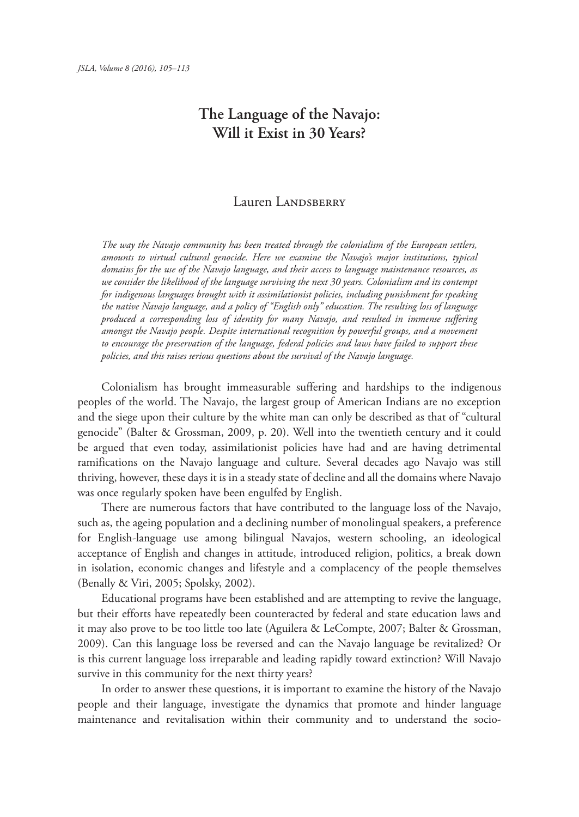## **The Language of the Navajo:**

## Lauren LANDSBERRY

*The way the Navajo community has been treated through the colonialism of the European settlers, amounts to virtual cultural genocide. Here we examine the Navajo's major institutions, typical domains for the use of the Navajo language, and their access to language maintenance resources, as we consider the likelihood of the language surviving the next 30 years. Colonialism and its contempt for indigenous languages brought with it assimilationist policies, including punishment for speaking the native Navajo language, and a policy of "English only" education. The resulting loss of language produced a corresponding loss of identity for many Navajo, and resulted in immense suffering amongst the Navajo people. Despite international recognition by powerful groups, and a movement to encourage the preservation of the language, federal policies and laws have failed to support these policies, and this raises serious questions about the survival of the Navajo language.*

 Colonialism has brought immeasurable suffering and hardships to the indigenous peoples of the world. The Navajo, the largest group of American Indians are no exception and the siege upon their culture by the white man can only be described as that of "cultural genocide" (Balter & Grossman, 2009, p. 20). Well into the twentieth century and it could be argued that even today, assimilationist policies have had and are having detrimental ramifications on the Navajo language and culture. Several decades ago Navajo was still thriving, however, these days it is in a steady state of decline and all the domains where Navajo was once regularly spoken have been engulfed by English.

 There are numerous factors that have contributed to the language loss of the Navajo, such as, the ageing population and a declining number of monolingual speakers, a preference for English-language use among bilingual Navajos, western schooling, an ideological acceptance of English and changes in attitude, introduced religion, politics, a break down in isolation, economic changes and lifestyle and a complacency of the people themselves (Benally & Viri, 2005; Spolsky, 2002).

 Educational programs have been established and are attempting to revive the language, but their efforts have repeatedly been counteracted by federal and state education laws and it may also prove to be too little too late (Aguilera & LeCompte, 2007; Balter & Grossman, 2009). Can this language loss be reversed and can the Navajo language be revitalized? Or is this current language loss irreparable and leading rapidly toward extinction? Will Navajo survive in this community for the next thirty years?

 In order to answer these questions, it is important to examine the history of the Navajo people and their language, investigate the dynamics that promote and hinder language maintenance and revitalisation within their community and to understand the socio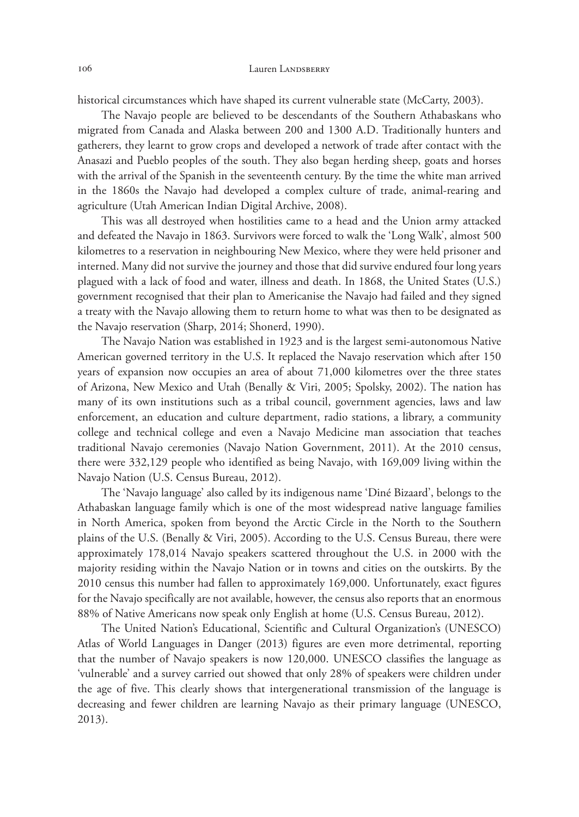historical circumstances which have shaped its current vulnerable state (McCarty, 2003).

 The Navajo people are believed to be descendants of the Southern Athabaskans who migrated from Canada and Alaska between 200 and 1300 A.D. Traditionally hunters and gatherers, they learnt to grow crops and developed a network of trade after contact with the Anasazi and Pueblo peoples of the south. They also began herding sheep, goats and horses with the arrival of the Spanish in the seventeenth century. By the time the white man arrived in the 1860s the Navajo had developed a complex culture of trade, animal-rearing and agriculture (Utah American Indian Digital Archive, 2008).

 This was all destroyed when hostilities came to a head and the Union army attacked and defeated the Navajo in 1863. Survivors were forced to walk the 'Long Walk', almost 500 kilometres to a reservation in neighbouring New Mexico, where they were held prisoner and interned. Many did not survive the journey and those that did survive endured four long years plagued with a lack of food and water, illness and death. In 1868, the United States (U.S.) government recognised that their plan to Americanise the Navajo had failed and they signed a treaty with the Navajo allowing them to return home to what was then to be designated as the Navajo reservation (Sharp, 2014; Shonerd, 1990).

 The Navajo Nation was established in 1923 and is the largest semi-autonomous Native American governed territory in the U.S. It replaced the Navajo reservation which after 150 years of expansion now occupies an area of about 71,000 kilometres over the three states of Arizona, New Mexico and Utah (Benally & Viri, 2005; Spolsky, 2002). The nation has many of its own institutions such as a tribal council, government agencies, laws and law enforcement, an education and culture department, radio stations, a library, a community college and technical college and even a Navajo Medicine man association that teaches traditional Navajo ceremonies (Navajo Nation Government, 2011). At the 2010 census, there were 332,129 people who identified as being Navajo, with 169,009 living within the Navajo Nation (U.S. Census Bureau, 2012).

 The 'Navajo language' also called by its indigenous name 'Diné Bizaard', belongs to the Athabaskan language family which is one of the most widespread native language families in North America, spoken from beyond the Arctic Circle in the North to the Southern plains of the U.S. (Benally & Viri, 2005). According to the U.S. Census Bureau, there were approximately 178,014 Navajo speakers scattered throughout the U.S. in 2000 with the majority residing within the Navajo Nation or in towns and cities on the outskirts. By the 2010 census this number had fallen to approximately 169,000. Unfortunately, exact figures for the Navajo specifically are not available, however, the census also reports that an enormous 88% of Native Americans now speak only English at home (U.S. Census Bureau, 2012).

 The United Nation's Educational, Scientific and Cultural Organization's (UNESCO) Atlas of World Languages in Danger (2013) figures are even more detrimental, reporting that the number of Navajo speakers is now 120,000. UNESCO classifies the language as 'vulnerable' and a survey carried out showed that only 28% of speakers were children under the age of five. This clearly shows that intergenerational transmission of the language is decreasing and fewer children are learning Navajo as their primary language (UNESCO, 2013).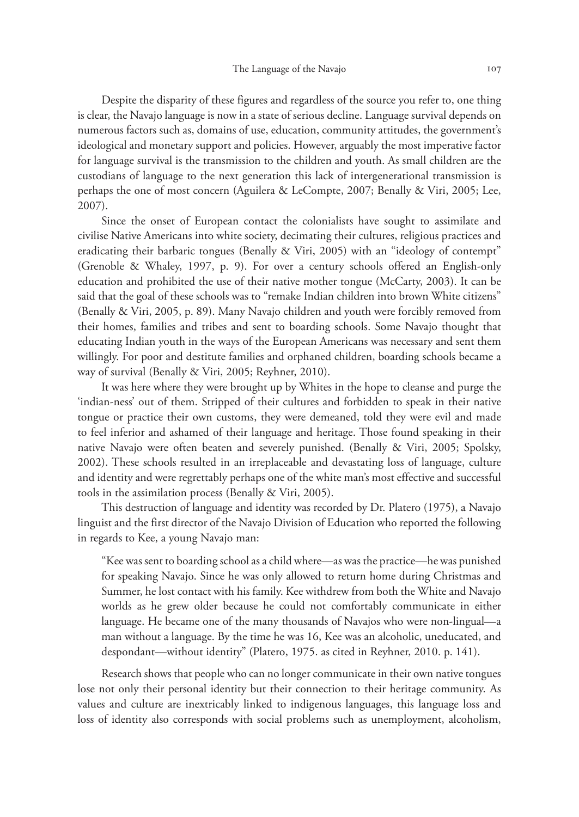Despite the disparity of these figures and regardless of the source you refer to, one thing is clear, the Navajo language is now in a state of serious decline. Language survival depends on numerous factors such as, domains of use, education, community attitudes, the government's ideological and monetary support and policies. However, arguably the most imperative factor for language survival is the transmission to the children and youth. As small children are the custodians of language to the next generation this lack of intergenerational transmission is perhaps the one of most concern (Aguilera & LeCompte, 2007; Benally & Viri, 2005; Lee, 2007).

 Since the onset of European contact the colonialists have sought to assimilate and civilise Native Americans into white society, decimating their cultures, religious practices and eradicating their barbaric tongues (Benally & Viri, 2005) with an "ideology of contempt" (Grenoble & Whaley, 1997, p. 9). For over a century schools offered an English-only education and prohibited the use of their native mother tongue (McCarty, 2003). It can be said that the goal of these schools was to "remake Indian children into brown White citizens" (Benally & Viri, 2005, p. 89). Many Navajo children and youth were forcibly removed from their homes, families and tribes and sent to boarding schools. Some Navajo thought that educating Indian youth in the ways of the European Americans was necessary and sent them willingly. For poor and destitute families and orphaned children, boarding schools became a way of survival (Benally & Viri, 2005; Reyhner, 2010).

 It was here where they were brought up by Whites in the hope to cleanse and purge the 'indian-ness' out of them. Stripped of their cultures and forbidden to speak in their native tongue or practice their own customs, they were demeaned, told they were evil and made to feel inferior and ashamed of their language and heritage. Those found speaking in their native Navajo were often beaten and severely punished. (Benally & Viri, 2005; Spolsky, 2002). These schools resulted in an irreplaceable and devastating loss of language, culture and identity and were regrettably perhaps one of the white man's most effective and successful tools in the assimilation process (Benally & Viri, 2005).

 This destruction of language and identity was recorded by Dr. Platero (1975), a Navajo linguist and the first director of the Navajo Division of Education who reported the following in regards to Kee, a young Navajo man:

"Kee was sent to boarding school as a child where—as was the practice—he was punished for speaking Navajo. Since he was only allowed to return home during Christmas and Summer, he lost contact with his family. Kee withdrew from both the White and Navajo worlds as he grew older because he could not comfortably communicate in either language. He became one of the many thousands of Navajos who were non-lingual—a man without a language. By the time he was 16, Kee was an alcoholic, uneducated, and despondant—without identity" (Platero, 1975. as cited in Reyhner, 2010. p. 141).

 Research shows that people who can no longer communicate in their own native tongues lose not only their personal identity but their connection to their heritage community. As values and culture are inextricably linked to indigenous languages, this language loss and loss of identity also corresponds with social problems such as unemployment, alcoholism,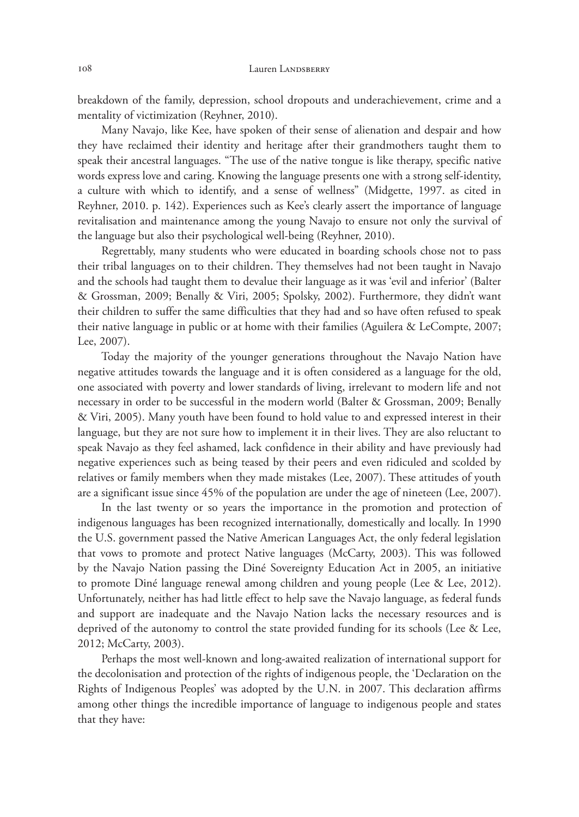breakdown of the family, depression, school dropouts and underachievement, crime and a mentality of victimization (Reyhner, 2010).

 Many Navajo, like Kee, have spoken of their sense of alienation and despair and how they have reclaimed their identity and heritage after their grandmothers taught them to speak their ancestral languages. "The use of the native tongue is like therapy, specific native words express love and caring. Knowing the language presents one with a strong self-identity, a culture with which to identify, and a sense of wellness" (Midgette, 1997. as cited in Reyhner, 2010. p. 142). Experiences such as Kee's clearly assert the importance of language revitalisation and maintenance among the young Navajo to ensure not only the survival of the language but also their psychological well-being (Reyhner, 2010).

 Regrettably, many students who were educated in boarding schools chose not to pass their tribal languages on to their children. They themselves had not been taught in Navajo and the schools had taught them to devalue their language as it was 'evil and inferior' (Balter & Grossman, 2009; Benally & Viri, 2005; Spolsky, 2002). Furthermore, they didn't want their children to suffer the same difficulties that they had and so have often refused to speak their native language in public or at home with their families (Aguilera & LeCompte, 2007; Lee, 2007).

 Today the majority of the younger generations throughout the Navajo Nation have negative attitudes towards the language and it is often considered as a language for the old, one associated with poverty and lower standards of living, irrelevant to modern life and not necessary in order to be successful in the modern world (Balter & Grossman, 2009; Benally & Viri, 2005). Many youth have been found to hold value to and expressed interest in their language, but they are not sure how to implement it in their lives. They are also reluctant to speak Navajo as they feel ashamed, lack confidence in their ability and have previously had negative experiences such as being teased by their peers and even ridiculed and scolded by relatives or family members when they made mistakes (Lee, 2007). These attitudes of youth are a significant issue since 45% of the population are under the age of nineteen (Lee, 2007).

 In the last twenty or so years the importance in the promotion and protection of indigenous languages has been recognized internationally, domestically and locally. In 1990 the U.S. government passed the Native American Languages Act, the only federal legislation that vows to promote and protect Native languages (McCarty, 2003). This was followed by the Navajo Nation passing the Diné Sovereignty Education Act in 2005, an initiative to promote Diné language renewal among children and young people (Lee & Lee, 2012). Unfortunately, neither has had little effect to help save the Navajo language, as federal funds and support are inadequate and the Navajo Nation lacks the necessary resources and is deprived of the autonomy to control the state provided funding for its schools (Lee & Lee, 2012; McCarty, 2003).

 Perhaps the most well-known and long-awaited realization of international support for the decolonisation and protection of the rights of indigenous people, the 'Declaration on the Rights of Indigenous Peoples' was adopted by the U.N. in 2007. This declaration affirms among other things the incredible importance of language to indigenous people and states that they have: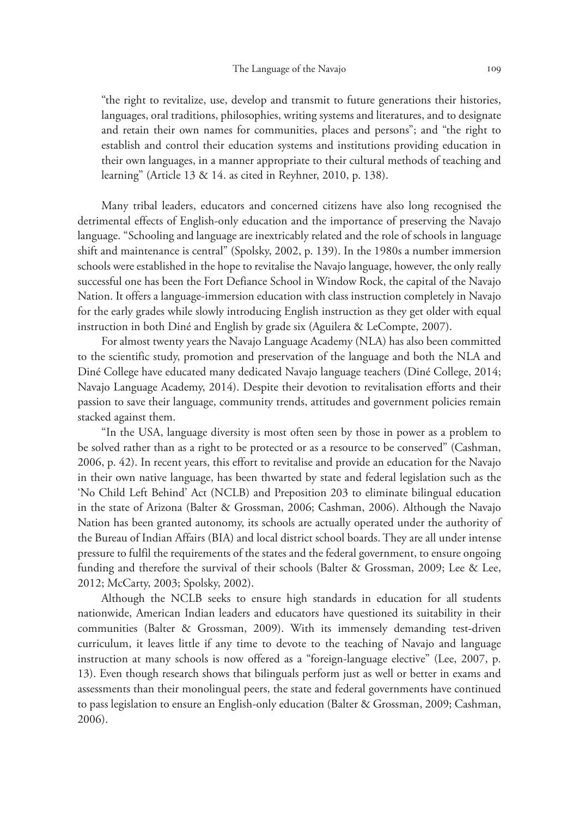"the right to revitalize, use, develop and transmit to future generations their histories, languages, oral traditions, philosophies, writing systems and literatures, and to designate and retain their own names for communities, places and persons"; and "the right to establish and control their education systems and institutions providing education in their own languages, in a manner appropriate to their cultural methods of teaching and learning" (Article 13 & 14. as cited in Reyhner, 2010, p. 138).

 Many tribal leaders, educators and concerned citizens have also long recognised the detrimental effects of English-only education and the importance of preserving the Navajo language. "Schooling and language are inextricably related and the role of schools in language shift and maintenance is central" (Spolsky, 2002, p. 139). In the 1980s a number immersion schools were established in the hope to revitalise the Navajo language, however, the only really successful one has been the Fort Defiance School in Window Rock, the capital of the Navajo Nation. It offers a language-immersion education with class instruction completely in Navajo for the early grades while slowly introducing English instruction as they get older with equal instruction in both Diné and English by grade six (Aguilera & LeCompte, 2007).

 For almost twenty years the Navajo Language Academy (NLA) has also been committed to the scientific study, promotion and preservation of the language and both the NLA and Diné College have educated many dedicated Navajo language teachers (Diné College, 2014; Navajo Language Academy, 2014). Despite their devotion to revitalisation efforts and their passion to save their language, community trends, attitudes and government policies remain stacked against them.

 "In the USA, language diversity is most often seen by those in power as a problem to be solved rather than as a right to be protected or as a resource to be conserved" (Cashman, 2006, p. 42). In recent years, this effort to revitalise and provide an education for the Navajo in their own native language, has been thwarted by state and federal legislation such as the 'No Child Left Behind' Act (NCLB) and Preposition 203 to eliminate bilingual education in the state of Arizona (Balter & Grossman, 2006; Cashman, 2006). Although the Navajo Nation has been granted autonomy, its schools are actually operated under the authority of the Bureau of Indian Affairs (BIA) and local district school boards. They are all under intense pressure to fulfil the requirements of the states and the federal government, to ensure ongoing funding and therefore the survival of their schools (Balter & Grossman, 2009; Lee & Lee, 2012; McCarty, 2003; Spolsky, 2002).

 Although the NCLB seeks to ensure high standards in education for all students nationwide, American Indian leaders and educators have questioned its suitability in their communities (Balter & Grossman, 2009). With its immensely demanding test-driven curriculum, it leaves little if any time to devote to the teaching of Navajo and language instruction at many schools is now offered as a "foreign-language elective" (Lee, 2007, p. 13). Even though research shows that bilinguals perform just as well or better in exams and assessments than their monolingual peers, the state and federal governments have continued to pass legislation to ensure an English-only education (Balter & Grossman, 2009; Cashman, 2006).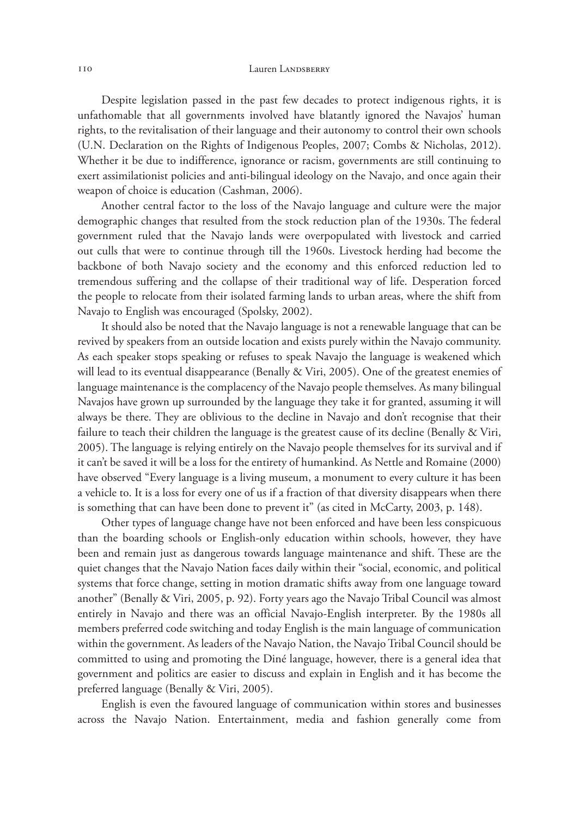## 110 Lauren LANDSBERRY

 Despite legislation passed in the past few decades to protect indigenous rights, it is unfathomable that all governments involved have blatantly ignored the Navajos' human rights, to the revitalisation of their language and their autonomy to control their own schools (U.N. Declaration on the Rights of Indigenous Peoples, 2007; Combs & Nicholas, 2012). Whether it be due to indifference, ignorance or racism, governments are still continuing to exert assimilationist policies and anti-bilingual ideology on the Navajo, and once again their weapon of choice is education (Cashman, 2006).

 Another central factor to the loss of the Navajo language and culture were the major demographic changes that resulted from the stock reduction plan of the 1930s. The federal government ruled that the Navajo lands were overpopulated with livestock and carried out culls that were to continue through till the 1960s. Livestock herding had become the backbone of both Navajo society and the economy and this enforced reduction led to tremendous suffering and the collapse of their traditional way of life. Desperation forced the people to relocate from their isolated farming lands to urban areas, where the shift from Navajo to English was encouraged (Spolsky, 2002).

 It should also be noted that the Navajo language is not a renewable language that can be revived by speakers from an outside location and exists purely within the Navajo community. As each speaker stops speaking or refuses to speak Navajo the language is weakened which will lead to its eventual disappearance (Benally & Viri, 2005). One of the greatest enemies of language maintenance is the complacency of the Navajo people themselves. As many bilingual Navajos have grown up surrounded by the language they take it for granted, assuming it will always be there. They are oblivious to the decline in Navajo and don't recognise that their failure to teach their children the language is the greatest cause of its decline (Benally & Viri, 2005). The language is relying entirely on the Navajo people themselves for its survival and if it can't be saved it will be a loss for the entirety of humankind. As Nettle and Romaine (2000) have observed "Every language is a living museum, a monument to every culture it has been a vehicle to. It is a loss for every one of us if a fraction of that diversity disappears when there is something that can have been done to prevent it" (as cited in McCarty, 2003, p. 148).

 Other types of language change have not been enforced and have been less conspicuous than the boarding schools or English-only education within schools, however, they have been and remain just as dangerous towards language maintenance and shift. These are the quiet changes that the Navajo Nation faces daily within their "social, economic, and political systems that force change, setting in motion dramatic shifts away from one language toward another" (Benally & Viri, 2005, p. 92). Forty years ago the Navajo Tribal Council was almost entirely in Navajo and there was an official Navajo-English interpreter. By the 1980s all members preferred code switching and today English is the main language of communication within the government. As leaders of the Navajo Nation, the Navajo Tribal Council should be committed to using and promoting the Diné language, however, there is a general idea that government and politics are easier to discuss and explain in English and it has become the preferred language (Benally & Viri, 2005).

 English is even the favoured language of communication within stores and businesses across the Navajo Nation. Entertainment, media and fashion generally come from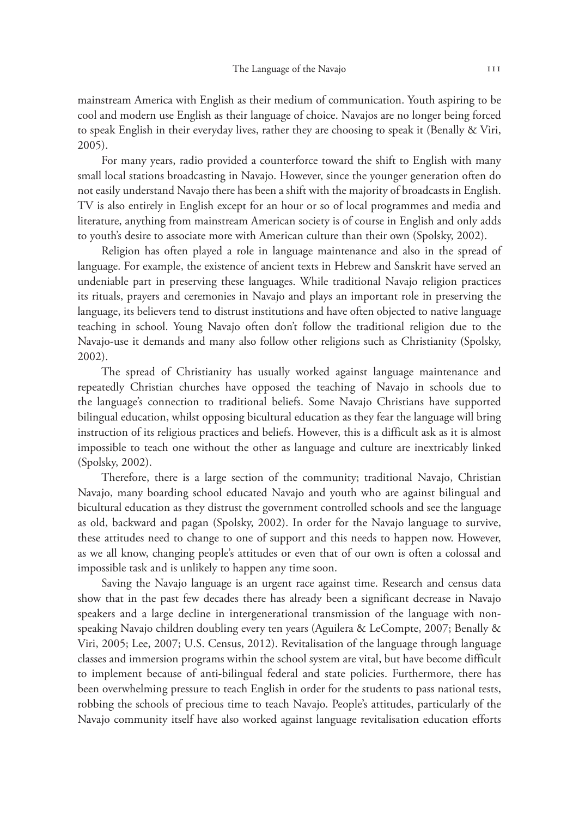mainstream America with English as their medium of communication. Youth aspiring to be cool and modern use English as their language of choice. Navajos are no longer being forced to speak English in their everyday lives, rather they are choosing to speak it (Benally & Viri, 2005).

 For many years, radio provided a counterforce toward the shift to English with many small local stations broadcasting in Navajo. However, since the younger generation often do not easily understand Navajo there has been a shift with the majority of broadcasts in English. TV is also entirely in English except for an hour or so of local programmes and media and literature, anything from mainstream American society is of course in English and only adds to youth's desire to associate more with American culture than their own (Spolsky, 2002).

 Religion has often played a role in language maintenance and also in the spread of language. For example, the existence of ancient texts in Hebrew and Sanskrit have served an undeniable part in preserving these languages. While traditional Navajo religion practices its rituals, prayers and ceremonies in Navajo and plays an important role in preserving the language, its believers tend to distrust institutions and have often objected to native language teaching in school. Young Navajo often don't follow the traditional religion due to the Navajo-use it demands and many also follow other religions such as Christianity (Spolsky, 2002).

 The spread of Christianity has usually worked against language maintenance and repeatedly Christian churches have opposed the teaching of Navajo in schools due to the language's connection to traditional beliefs. Some Navajo Christians have supported bilingual education, whilst opposing bicultural education as they fear the language will bring instruction of its religious practices and beliefs. However, this is a difficult ask as it is almost impossible to teach one without the other as language and culture are inextricably linked (Spolsky, 2002).

 Therefore, there is a large section of the community; traditional Navajo, Christian Navajo, many boarding school educated Navajo and youth who are against bilingual and bicultural education as they distrust the government controlled schools and see the language as old, backward and pagan (Spolsky, 2002). In order for the Navajo language to survive, these attitudes need to change to one of support and this needs to happen now. However, as we all know, changing people's attitudes or even that of our own is often a colossal and impossible task and is unlikely to happen any time soon.

 Saving the Navajo language is an urgent race against time. Research and census data show that in the past few decades there has already been a significant decrease in Navajo speakers and a large decline in intergenerational transmission of the language with nonspeaking Navajo children doubling every ten years (Aguilera & LeCompte, 2007; Benally & Viri, 2005; Lee, 2007; U.S. Census, 2012). Revitalisation of the language through language classes and immersion programs within the school system are vital, but have become difficult to implement because of anti-bilingual federal and state policies. Furthermore, there has been overwhelming pressure to teach English in order for the students to pass national tests, robbing the schools of precious time to teach Navajo. People's attitudes, particularly of the Navajo community itself have also worked against language revitalisation education efforts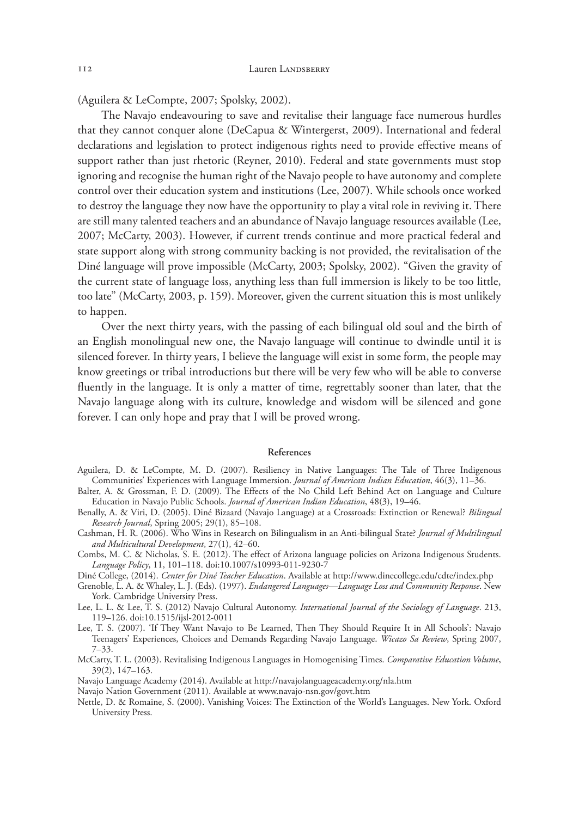(Aguilera & LeCompte, 2007; Spolsky, 2002).

 The Navajo endeavouring to save and revitalise their language face numerous hurdles that they cannot conquer alone (DeCapua & Wintergerst, 2009). International and federal declarations and legislation to protect indigenous rights need to provide effective means of support rather than just rhetoric (Reyner, 2010). Federal and state governments must stop ignoring and recognise the human right of the Navajo people to have autonomy and complete control over their education system and institutions (Lee, 2007). While schools once worked to destroy the language they now have the opportunity to play a vital role in reviving it. There are still many talented teachers and an abundance of Navajo language resources available (Lee, 2007; McCarty, 2003). However, if current trends continue and more practical federal and state support along with strong community backing is not provided, the revitalisation of the Diné language will prove impossible (McCarty, 2003; Spolsky, 2002). "Given the gravity of the current state of language loss, anything less than full immersion is likely to be too little, too late" (McCarty, 2003, p. 159). Moreover, given the current situation this is most unlikely to happen.

 Over the next thirty years, with the passing of each bilingual old soul and the birth of an English monolingual new one, the Navajo language will continue to dwindle until it is silenced forever. In thirty years, I believe the language will exist in some form, the people may know greetings or tribal introductions but there will be very few who will be able to converse fluently in the language. It is only a matter of time, regrettably sooner than later, that the Navajo language along with its culture, knowledge and wisdom will be silenced and gone forever. I can only hope and pray that I will be proved wrong.

## References

- Aguilera, D. & LeCompte, M. D. (2007). Resiliency in Native Languages: The Tale of Three Indigenous Communities' Experiences with Language Immersion. *Journal of American Indian Education*, 46(3), 11–36.
- Balter, A. & Grossman, F. D. (2009). The Effects of the No Child Left Behind Act on Language and Culture Education in Navajo Public Schools. *Journal of American Indian Education*, 48(3), 19–46.
- Benally, A. & Viri, D. (2005). Diné Bizaard (Navajo Language) at a Crossroads: Extinction or Renewal? *Bilingual Research Journal*, Spring 2005; 29(1), 85–108.
- Cashman, H. R. (2006). Who Wins in Research on Bilingualism in an Anti-bilingual State? *Journal of Multilingual and Multicultural Development*, 27(1), 42–60.
- Combs, M. C. & Nicholas, S. E. (2012). The effect of Arizona language policies on Arizona Indigenous Students. *Language Policy*, 11, 101–118. doi:10.1007/s10993-011-9230-7
- Diné College, (2014). *Center for Diné Teacher Education*. Available at http://www.dinecollege.edu/cdte/index.php
- Grenoble, L. A. & Whaley, L. J. (Eds). (1997). *Endangered Languages—Language Loss and Community Response*. New York. Cambridge University Press.
- Lee, L. L. & Lee, T. S. (2012) Navajo Cultural Autonomy. *International Journal of the Sociology of Language*. 213, 119–126. doi:10.1515/ijsl-2012-0011
- Lee, T. S. (2007). 'If They Want Navajo to Be Learned, Then They Should Require It in All Schools': Navajo Teenagers' Experiences, Choices and Demands Regarding Navajo Language. *Wicazo Sa Review*, Spring 2007, 7–33.
- McCarty, T. L. (2003). Revitalising Indigenous Languages in Homogenising Times. *Comparative Education Volume*, 39(2), 147–163.
- Navajo Language Academy (2014). Available at http://navajolanguageacademy.org/nla.htm
- Navajo Nation Government (2011). Available at www.navajo-nsn.gov/govt.htm
- Nettle, D. & Romaine, S. (2000). Vanishing Voices: The Extinction of the World's Languages. New York. Oxford University Press.